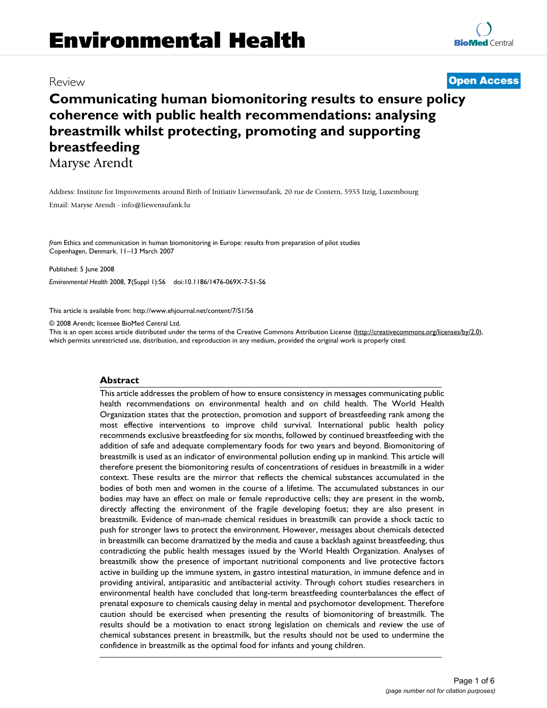## Review **[Open Access](http://www.biomedcentral.com/info/about/charter/)**

# **Communicating human biomonitoring results to ensure policy coherence with public health recommendations: analysing breastmilk whilst protecting, promoting and supporting breastfeeding**

Maryse Arendt

Address: Institute for Improvements around Birth of Initiativ Liewensufank, 20 rue de Contern, 5955 Itzig, Luxembourg

Email: Maryse Arendt - info@liewensufank.lu

*from* Ethics and communication in human biomonitoring in Europe: results from preparation of pilot studies Copenhagen, Denmark. 11–13 March 2007

Published: 5 June 2008

*Environmental Health* 2008, **7**(Suppl 1):S6 doi:10.1186/1476-069X-7-S1-S6

[This article is available from: http://www.ehjournal.net/content/7/S1/S6](http://www.ehjournal.net/content/7/S1/S6)

© 2008 Arendt; licensee BioMed Central Ltd.

This is an open access article distributed under the terms of the Creative Commons Attribution License [\(http://creativecommons.org/licenses/by/2.0\)](http://creativecommons.org/licenses/by/2.0), which permits unrestricted use, distribution, and reproduction in any medium, provided the original work is properly cited.

#### **Abstract**

This article addresses the problem of how to ensure consistency in messages communicating public health recommendations on environmental health and on child health. The World Health Organization states that the protection, promotion and support of breastfeeding rank among the most effective interventions to improve child survival. International public health policy recommends exclusive breastfeeding for six months, followed by continued breastfeeding with the addition of safe and adequate complementary foods for two years and beyond. Biomonitoring of breastmilk is used as an indicator of environmental pollution ending up in mankind. This article will therefore present the biomonitoring results of concentrations of residues in breastmilk in a wider context. These results are the mirror that reflects the chemical substances accumulated in the bodies of both men and women in the course of a lifetime. The accumulated substances in our bodies may have an effect on male or female reproductive cells; they are present in the womb, directly affecting the environment of the fragile developing foetus; they are also present in breastmilk. Evidence of man-made chemical residues in breastmilk can provide a shock tactic to push for stronger laws to protect the environment. However, messages about chemicals detected in breastmilk can become dramatized by the media and cause a backlash against breastfeeding, thus contradicting the public health messages issued by the World Health Organization. Analyses of breastmilk show the presence of important nutritional components and live protective factors active in building up the immune system, in gastro intestinal maturation, in immune defence and in providing antiviral, antiparasitic and antibacterial activity. Through cohort studies researchers in environmental health have concluded that long-term breastfeeding counterbalances the effect of prenatal exposure to chemicals causing delay in mental and psychomotor development. Therefore caution should be exercised when presenting the results of biomonitoring of breastmilk. The results should be a motivation to enact strong legislation on chemicals and review the use of chemical substances present in breastmilk, but the results should not be used to undermine the confidence in breastmilk as the optimal food for infants and young children.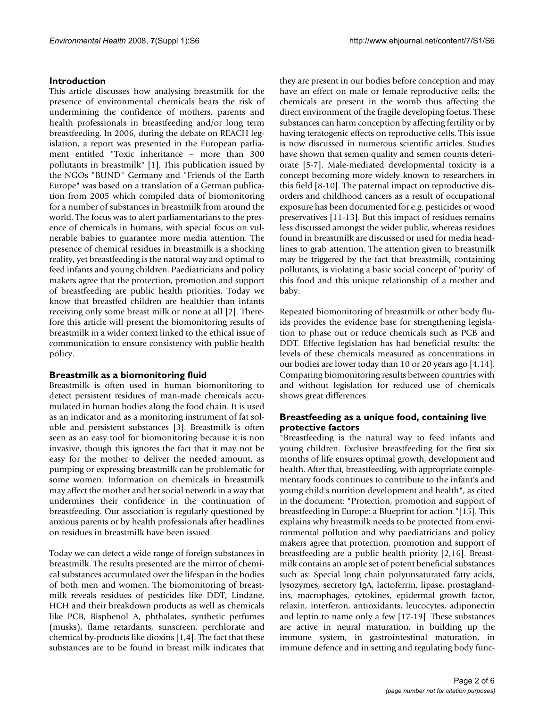#### **Introduction**

This article discusses how analysing breastmilk for the presence of environmental chemicals bears the risk of undermining the confidence of mothers, parents and health professionals in breastfeeding and/or long term breastfeeding. In 2006, during the debate on REACH legislation, a report was presented in the European parliament entitled "Toxic inheritance – more than 300 pollutants in breastmilk" [1]. This publication issued by the NGOs "BUND" Germany and "Friends of the Earth Europe" was based on a translation of a German publication from 2005 which compiled data of biomonitoring for a number of substances in breastmilk from around the world. The focus was to alert parliamentarians to the presence of chemicals in humans, with special focus on vulnerable babies to guarantee more media attention. The presence of chemical residues in breastmilk is a shocking reality, yet breastfeeding is the natural way and optimal to feed infants and young children. Paediatricians and policy makers agree that the protection, promotion and support of breastfeeding are public health priorities. Today we know that breastfed children are healthier than infants receiving only some breast milk or none at all [2]. Therefore this article will present the biomonitoring results of breastmilk in a wider context linked to the ethical issue of communication to ensure consistency with public health policy.

#### **Breastmilk as a biomonitoring fluid**

Breastmilk is often used in human biomonitoring to detect persistent residues of man-made chemicals accumulated in human bodies along the food chain. It is used as an indicator and as a monitoring instrument of fat soluble and persistent substances [3]. Breastmilk is often seen as an easy tool for biomonitoring because it is non invasive, though this ignores the fact that it may not be easy for the mother to deliver the needed amount, as pumping or expressing breastmilk can be problematic for some women. Information on chemicals in breastmilk may affect the mother and her social network in a way that undermines their confidence in the continuation of breastfeeding. Our association is regularly questioned by anxious parents or by health professionals after headlines on residues in breastmilk have been issued.

Today we can detect a wide range of foreign substances in breastmilk. The results presented are the mirror of chemical substances accumulated over the lifespan in the bodies of both men and women. The biomonitoring of breastmilk reveals residues of pesticides like DDT, Lindane, HCH and their breakdown products as well as chemicals like PCB, Bisphenol A, phthalates, synthetic perfumes (musks), flame retardants, sunscreen, perchlorate and chemical by-products like dioxins [1,4]. The fact that these substances are to be found in breast milk indicates that

they are present in our bodies before conception and may have an effect on male or female reproductive cells; the chemicals are present in the womb thus affecting the direct environment of the fragile developing foetus. These substances can harm conception by affecting fertility or by having teratogenic effects on reproductive cells. This issue is now discussed in numerous scientific articles. Studies have shown that semen quality and semen counts deteriorate [5-7]. Male-mediated developmental toxicity is a concept becoming more widely known to researchers in this field [8-10]. The paternal impact on reproductive disorders and childhood cancers as a result of occupational exposure has been documented for e.g. pesticides or wood preservatives [11-13]. But this impact of residues remains less discussed amongst the wider public, whereas residues found in breastmilk are discussed or used for media headlines to grab attention. The attention given to breastmilk may be triggered by the fact that breastmilk, containing pollutants, is violating a basic social concept of 'purity' of this food and this unique relationship of a mother and baby.

Repeated biomonitoring of breastmilk or other body fluids provides the evidence base for strengthening legislation to phase out or reduce chemicals such as PCB and DDT. Effective legislation has had beneficial results: the levels of these chemicals measured as concentrations in our bodies are lower today than 10 or 20 years ago [4,14]. Comparing biomonitoring results between countries with and without legislation for reduced use of chemicals shows great differences.

### **Breastfeeding as a unique food, containing live protective factors**

"Breastfeeding is the natural way to feed infants and young children. Exclusive breastfeeding for the first six months of life ensures optimal growth, development and health. After that, breastfeeding, with appropriate complementary foods continues to contribute to the infant's and young child's nutrition development and health", as cited in the document: "Protection, promotion and support of breastfeeding in Europe: a Blueprint for action."[15]. This explains why breastmilk needs to be protected from environmental pollution and why paediatricians and policy makers agree that protection, promotion and support of breastfeeding are a public health priority [2,16]. Breastmilk contains an ample set of potent beneficial substances such as: Special long chain polyunsaturated fatty acids, lysozymes, secretory IgA, lactoferrin, lipase, prostaglandins, macrophages, cytokines, epidermal growth factor, relaxin, interferon, antioxidants, leucocytes, adiponectin and leptin to name only a few [17-19]. These substances are active in neural maturation, in building up the immune system, in gastrointestinal maturation, in immune defence and in setting and regulating body func-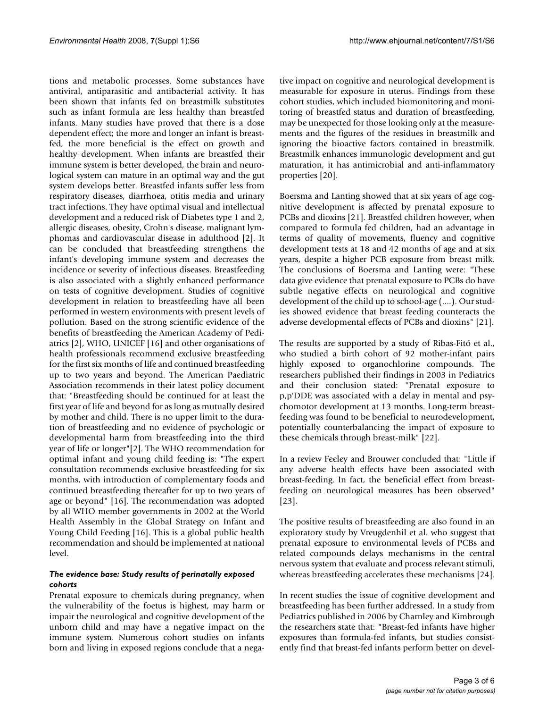tions and metabolic processes. Some substances have antiviral, antiparasitic and antibacterial activity. It has been shown that infants fed on breastmilk substitutes such as infant formula are less healthy than breastfed infants. Many studies have proved that there is a dose dependent effect; the more and longer an infant is breastfed, the more beneficial is the effect on growth and healthy development. When infants are breastfed their immune system is better developed, the brain and neurological system can mature in an optimal way and the gut system develops better. Breastfed infants suffer less from respiratory diseases, diarrhoea, otitis media and urinary tract infections. They have optimal visual and intellectual development and a reduced risk of Diabetes type 1 and 2, allergic diseases, obesity, Crohn's disease, malignant lymphomas and cardiovascular disease in adulthood [2]. It can be concluded that breastfeeding strengthens the infant's developing immune system and decreases the incidence or severity of infectious diseases. Breastfeeding is also associated with a slightly enhanced performance on tests of cognitive development. Studies of cognitive development in relation to breastfeeding have all been performed in western environments with present levels of pollution. Based on the strong scientific evidence of the benefits of breastfeeding the American Academy of Pediatrics [2], WHO, UNICEF [16] and other organisations of health professionals recommend exclusive breastfeeding for the first six months of life and continued breastfeeding up to two years and beyond. The American Paediatric Association recommends in their latest policy document that: "Breastfeeding should be continued for at least the first year of life and beyond for as long as mutually desired by mother and child. There is no upper limit to the duration of breastfeeding and no evidence of psychologic or developmental harm from breastfeeding into the third year of life or longer"[2]. The WHO recommendation for optimal infant and young child feeding is: "The expert consultation recommends exclusive breastfeeding for six months, with introduction of complementary foods and continued breastfeeding thereafter for up to two years of age or beyond" [16]. The recommendation was adopted by all WHO member governments in 2002 at the World Health Assembly in the Global Strategy on Infant and Young Child Feeding [16]. This is a global public health recommendation and should be implemented at national level.

### *The evidence base: Study results of perinatally exposed cohorts*

Prenatal exposure to chemicals during pregnancy, when the vulnerability of the foetus is highest, may harm or impair the neurological and cognitive development of the unborn child and may have a negative impact on the immune system. Numerous cohort studies on infants born and living in exposed regions conclude that a negative impact on cognitive and neurological development is measurable for exposure in uterus. Findings from these cohort studies, which included biomonitoring and monitoring of breastfed status and duration of breastfeeding, may be unexpected for those looking only at the measurements and the figures of the residues in breastmilk and ignoring the bioactive factors contained in breastmilk. Breastmilk enhances immunologic development and gut maturation, it has antimicrobial and anti-inflammatory properties [20].

Boersma and Lanting showed that at six years of age cognitive development is affected by prenatal exposure to PCBs and dioxins [21]. Breastfed children however, when compared to formula fed children, had an advantage in terms of quality of movements, fluency and cognitive development tests at 18 and 42 months of age and at six years, despite a higher PCB exposure from breast milk. The conclusions of Boersma and Lanting were: "These data give evidence that prenatal exposure to PCBs do have subtle negative effects on neurological and cognitive development of the child up to school-age (....). Our studies showed evidence that breast feeding counteracts the adverse developmental effects of PCBs and dioxins" [21].

The results are supported by a study of Ribas-Fitó et al., who studied a birth cohort of 92 mother-infant pairs highly exposed to organochlorine compounds. The researchers published their findings in 2003 in Pediatrics and their conclusion stated: "Prenatal exposure to p,p'DDE was associated with a delay in mental and psychomotor development at 13 months. Long-term breastfeeding was found to be beneficial to neurodevelopment, potentially counterbalancing the impact of exposure to these chemicals through breast-milk" [22].

In a review Feeley and Brouwer concluded that: "Little if any adverse health effects have been associated with breast-feeding. In fact, the beneficial effect from breastfeeding on neurological measures has been observed" [23].

The positive results of breastfeeding are also found in an exploratory study by Vreugdenhil et al. who suggest that prenatal exposure to environmental levels of PCBs and related compounds delays mechanisms in the central nervous system that evaluate and process relevant stimuli, whereas breastfeeding accelerates these mechanisms [24].

In recent studies the issue of cognitive development and breastfeeding has been further addressed. In a study from Pediatrics published in 2006 by Charnley and Kimbrough the researchers state that: "Breast-fed infants have higher exposures than formula-fed infants, but studies consistently find that breast-fed infants perform better on devel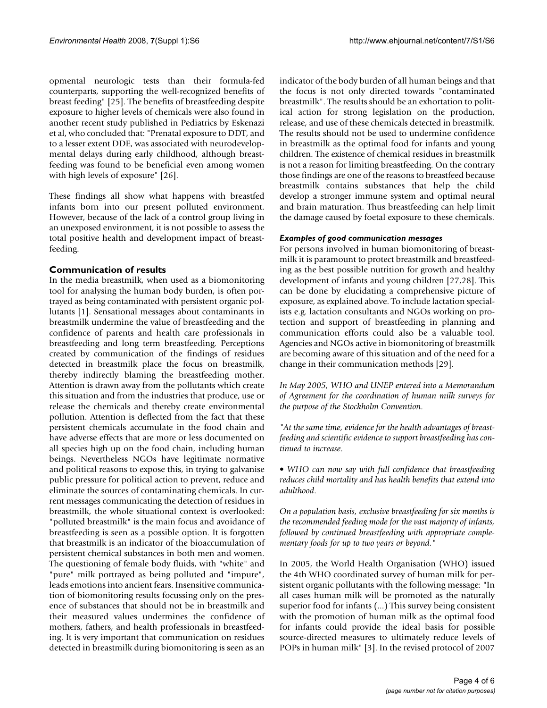opmental neurologic tests than their formula-fed counterparts, supporting the well-recognized benefits of breast feeding" [25]. The benefits of breastfeeding despite exposure to higher levels of chemicals were also found in another recent study published in Pediatrics by Eskenazi et al, who concluded that: "Prenatal exposure to DDT, and to a lesser extent DDE, was associated with neurodevelopmental delays during early childhood, although breastfeeding was found to be beneficial even among women with high levels of exposure" [26].

These findings all show what happens with breastfed infants born into our present polluted environment. However, because of the lack of a control group living in an unexposed environment, it is not possible to assess the total positive health and development impact of breastfeeding.

#### **Communication of results**

In the media breastmilk, when used as a biomonitoring tool for analysing the human body burden, is often portrayed as being contaminated with persistent organic pollutants [1]. Sensational messages about contaminants in breastmilk undermine the value of breastfeeding and the confidence of parents and health care professionals in breastfeeding and long term breastfeeding. Perceptions created by communication of the findings of residues detected in breastmilk place the focus on breastmilk, thereby indirectly blaming the breastfeeding mother. Attention is drawn away from the pollutants which create this situation and from the industries that produce, use or release the chemicals and thereby create environmental pollution. Attention is deflected from the fact that these persistent chemicals accumulate in the food chain and have adverse effects that are more or less documented on all species high up on the food chain, including human beings. Nevertheless NGOs have legitimate normative and political reasons to expose this, in trying to galvanise public pressure for political action to prevent, reduce and eliminate the sources of contaminating chemicals. In current messages communicating the detection of residues in breastmilk, the whole situational context is overlooked: "polluted breastmilk" is the main focus and avoidance of breastfeeding is seen as a possible option. It is forgotten that breastmilk is an indicator of the bioaccumulation of persistent chemical substances in both men and women. The questioning of female body fluids, with "white" and "pure" milk portrayed as being polluted and "impure", leads emotions into ancient fears. Insensitive communication of biomonitoring results focussing only on the presence of substances that should not be in breastmilk and their measured values undermines the confidence of mothers, fathers, and health professionals in breastfeeding. It is very important that communication on residues detected in breastmilk during biomonitoring is seen as an

indicator of the body burden of all human beings and that the focus is not only directed towards "contaminated breastmilk". The results should be an exhortation to political action for strong legislation on the production, release, and use of these chemicals detected in breastmilk. The results should not be used to undermine confidence in breastmilk as the optimal food for infants and young children. The existence of chemical residues in breastmilk is not a reason for limiting breastfeeding. On the contrary those findings are one of the reasons to breastfeed because breastmilk contains substances that help the child develop a stronger immune system and optimal neural and brain maturation. Thus breastfeeding can help limit the damage caused by foetal exposure to these chemicals.

#### *Examples of good communication messages*

For persons involved in human biomonitoring of breastmilk it is paramount to protect breastmilk and breastfeeding as the best possible nutrition for growth and healthy development of infants and young children [27,28]. This can be done by elucidating a comprehensive picture of exposure, as explained above. To include lactation specialists e.g. lactation consultants and NGOs working on protection and support of breastfeeding in planning and communication efforts could also be a valuable tool. Agencies and NGOs active in biomonitoring of breastmilk are becoming aware of this situation and of the need for a change in their communication methods [29].

*In May 2005, WHO and UNEP entered into a Memorandum of Agreement for the coordination of human milk surveys for the purpose of the Stockholm Convention*.

*"At the same time, evidence for the health advantages of breastfeeding and scientific evidence to support breastfeeding has continued to increase*.

• *WHO can now say with full confidence that breastfeeding reduces child mortality and has health benefits that extend into adulthood*.

*On a population basis, exclusive breastfeeding for six months is the recommended feeding mode for the vast majority of infants, followed by continued breastfeeding with appropriate complementary foods for up to two years or beyond."*

In 2005, the World Health Organisation (WHO) issued the 4th WHO coordinated survey of human milk for persistent organic pollutants with the following message: "In all cases human milk will be promoted as the naturally superior food for infants (...) This survey being consistent with the promotion of human milk as the optimal food for infants could provide the ideal basis for possible source-directed measures to ultimately reduce levels of POPs in human milk" [3]. In the revised protocol of 2007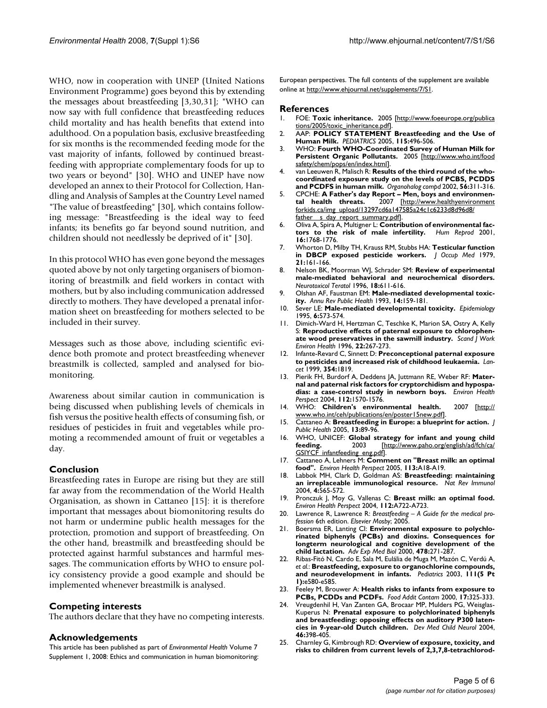WHO, now in cooperation with UNEP (United Nations Environment Programme) goes beyond this by extending the messages about breastfeeding [3,30,31]; "WHO can now say with full confidence that breastfeeding reduces child mortality and has health benefits that extend into adulthood. On a population basis, exclusive breastfeeding for six months is the recommended feeding mode for the vast majority of infants, followed by continued breastfeeding with appropriate complementary foods for up to two years or beyond" [30]. WHO and UNEP have now developed an annex to their Protocol for Collection, Handling and Analysis of Samples at the Country Level named "The value of breastfeeding" [30], which contains following message: "Breastfeeding is the ideal way to feed infants; its benefits go far beyond sound nutrition, and children should not needlessly be deprived of it" [30].

In this protocol WHO has even gone beyond the messages quoted above by not only targeting organisers of biomonitoring of breastmilk and field workers in contact with mothers, but by also including communication addressed directly to mothers. They have developed a prenatal information sheet on breastfeeding for mothers selected to be included in their survey.

Messages such as those above, including scientific evidence both promote and protect breastfeeding whenever breastmilk is collected, sampled and analysed for biomonitoring.

Awareness about similar caution in communication is being discussed when publishing levels of chemicals in fish versus the positive health effects of consuming fish, or residues of pesticides in fruit and vegetables while promoting a recommended amount of fruit or vegetables a day.

#### **Conclusion**

Breastfeeding rates in Europe are rising but they are still far away from the recommendation of the World Health Organisation, as shown in Cattaneo [15]: it is therefore important that messages about biomonitoring results do not harm or undermine public health messages for the protection, promotion and support of breastfeeding. On the other hand, breastmilk and breastfeeding should be protected against harmful substances and harmful messages. The communication efforts by WHO to ensure policy consistency provide a good example and should be implemented whenever breastmilk is analysed.

#### **Competing interests**

The authors declare that they have no competing interests.

#### **Acknowledgements**

This article has been published as part of *Environmental Health* Volume 7 Supplement 1, 2008: Ethics and communication in human biomonitoring: European perspectives. The full contents of the supplement are available online at<http://www.ehjournal.net/supplements/7/S1>.

#### **References**

- 1. FOE: **Toxic inheritance.** 2005 [[http://www.foeeurope.org/publica](http://www.foeeurope.org/publications/2005/toxic_inheritance.pdf) [tions/2005/toxic\\_inheritance.pdf\]](http://www.foeeurope.org/publications/2005/toxic_inheritance.pdf).
- 2. AAP: **[POLICY STATEMENT Breastfeeding and the Use of](http://www.ncbi.nlm.nih.gov/entrez/query.fcgi?cmd=Retrieve&db=PubMed&dopt=Abstract&list_uids=15687461) [Human Milk.](http://www.ncbi.nlm.nih.gov/entrez/query.fcgi?cmd=Retrieve&db=PubMed&dopt=Abstract&list_uids=15687461)** *PEDIATRICS* 2005, **115:**496-506.
- 3. WHO: **Fourth WHO-Coordinated Survey of Human Milk for Persistent Organic Pollutants.** 2005 [[http://www.who.int/food](http://www.who.int/foodsafety/chem/pops/en/index.html) [safety/chem/pops/en/index.html](http://www.who.int/foodsafety/chem/pops/en/index.html)].
- 4. van Leeuwen R, Malisch R: **Results of the third round of the whocoordinated exposure study on the levels of PCBS, PCDDS and PCDFS in human milk.** *Organohalog compd* 2002, **56:**311-316.
- 5. CPCHE: **A Father's day Report Men, boys and environmental health threats.** 2007 [\[http://www.healthyenvironment](http://www.healthyenvironmentforkids.ca/img_upload/13297cd6a147585a24c1c6233d8d96d8/father__s_day_report_summary.pdf) [forkids.ca/img\\_upload/13297cd6a147585a24c1c6233d8d96d8/](http://www.healthyenvironmentforkids.ca/img_upload/13297cd6a147585a24c1c6233d8d96d8/father__s_day_report_summary.pdf) [father\\_\\_s\\_day\\_report\\_summary.pdf\]](http://www.healthyenvironmentforkids.ca/img_upload/13297cd6a147585a24c1c6233d8d96d8/father__s_day_report_summary.pdf).
- 6. Oliva A, Spira A, Multigner L: **[Contribution of environmental fac](http://www.ncbi.nlm.nih.gov/entrez/query.fcgi?cmd=Retrieve&db=PubMed&dopt=Abstract&list_uids=11473980)[tors to the risk of male infertility.](http://www.ncbi.nlm.nih.gov/entrez/query.fcgi?cmd=Retrieve&db=PubMed&dopt=Abstract&list_uids=11473980)** *Hum Reprod* 2001, **16:**1768-1776.
- 7. Whorton D, Milby TH, Krauss RM, Stubbs HA: **[Testicular function](http://www.ncbi.nlm.nih.gov/entrez/query.fcgi?cmd=Retrieve&db=PubMed&dopt=Abstract&list_uids=556420) [in DBCP exposed pesticide workers.](http://www.ncbi.nlm.nih.gov/entrez/query.fcgi?cmd=Retrieve&db=PubMed&dopt=Abstract&list_uids=556420)** *J Occup Med* 1979, **21:**161-166.
- 8. Nelson BK, Moorman WJ, Schrader SM: **[Review of experimental](http://www.ncbi.nlm.nih.gov/entrez/query.fcgi?cmd=Retrieve&db=PubMed&dopt=Abstract&list_uids=8947937) [male-mediated behavioral and neurochemical disorders.](http://www.ncbi.nlm.nih.gov/entrez/query.fcgi?cmd=Retrieve&db=PubMed&dopt=Abstract&list_uids=8947937)** *Neurotoxicol Teratol* 1996, **18:**611-616.
- 9. Olshan AF, Faustman EM: **[Male-mediated developmental toxic](http://www.ncbi.nlm.nih.gov/entrez/query.fcgi?cmd=Retrieve&db=PubMed&dopt=Abstract&list_uids=7686758)[ity.](http://www.ncbi.nlm.nih.gov/entrez/query.fcgi?cmd=Retrieve&db=PubMed&dopt=Abstract&list_uids=7686758)** *Annu Rev Public Health* 1993, **14:**159-181.
- 10. Sever LE: **[Male-mediated developmental toxicity.](http://www.ncbi.nlm.nih.gov/entrez/query.fcgi?cmd=Retrieve&db=PubMed&dopt=Abstract&list_uids=8589085)** *Epidemiology* 1995, **6:**573-574.
- 11. Dimich-Ward H, Hertzman C, Teschke K, Marion SA, Ostry A, Kelly S: **[Reproductive effects of paternal exposure to chlorophen](http://www.ncbi.nlm.nih.gov/entrez/query.fcgi?cmd=Retrieve&db=PubMed&dopt=Abstract&list_uids=8881015)[ate wood preservatives in the sawmill industry.](http://www.ncbi.nlm.nih.gov/entrez/query.fcgi?cmd=Retrieve&db=PubMed&dopt=Abstract&list_uids=8881015)** *Scand J Work Environ Health* 1996, **22:**267-273.
- 12. Infante-Revard C, Sinnett D: **Preconceptional paternal exposure to pesticides and increased risk of childhood leukaemia.** *Lancet* 1999, **354:**1819.
- 13. Pierik FH, Burdorf A, Deddens JA, Juttmann RE, Weber RF: **[Mater](http://www.ncbi.nlm.nih.gov/entrez/query.fcgi?cmd=Retrieve&db=PubMed&dopt=Abstract&list_uids=15531444)[nal and paternal risk factors for cryptorchidism and hypospa](http://www.ncbi.nlm.nih.gov/entrez/query.fcgi?cmd=Retrieve&db=PubMed&dopt=Abstract&list_uids=15531444)[dias: a case-control study in newborn boys.](http://www.ncbi.nlm.nih.gov/entrez/query.fcgi?cmd=Retrieve&db=PubMed&dopt=Abstract&list_uids=15531444)** *Environ Health Perspect* 2004, **112:**1570-1576.
- 14. WHO: **Children's environmental health.** 2007 [\[http://](http://www.who.int/ceh/publications/en/poster15new.pdf) [www.who.int/ceh/publications/en/poster15new.pdf](http://www.who.int/ceh/publications/en/poster15new.pdf)].
- 15. Cattaneo A: **Breastfeeding in Europe: a blueprint for action.** *J Public Health* 2005, **13:**89-96.
- 16. WHO, UNICEF: **Global strategy for infant and young child** feeding. 2003 [[http://www.paho.org/english/ad/fch/ca/](http://www.paho.org/english/ad/fch/ca/GSIYCF_infantfeeding_eng.pdf) GSIYCF infantfeeding eng.pdf].
- 17. Cattaneo A, Lehners M: **[Comment on "Breast milk: an optimal](http://www.ncbi.nlm.nih.gov/entrez/query.fcgi?cmd=Retrieve&db=PubMed&dopt=Abstract&list_uids=15631954) [food".](http://www.ncbi.nlm.nih.gov/entrez/query.fcgi?cmd=Retrieve&db=PubMed&dopt=Abstract&list_uids=15631954)** *Environ Health Perspect* 2005, **113:**A18-A19.
- Labbok MH, Clark D, Goldman AS: [Breastfeeding: maintaining](http://www.ncbi.nlm.nih.gov/entrez/query.fcgi?cmd=Retrieve&db=PubMed&dopt=Abstract&list_uids=15229475) **[an irreplaceable immunological resource.](http://www.ncbi.nlm.nih.gov/entrez/query.fcgi?cmd=Retrieve&db=PubMed&dopt=Abstract&list_uids=15229475)** *Nat Rev Immunol* 2004, **4:**565-572.
- 19. Pronczuk J, Moy G, Vallenas C: **[Breast milk: an optimal food.](http://www.ncbi.nlm.nih.gov/entrez/query.fcgi?cmd=Retrieve&db=PubMed&dopt=Abstract&list_uids=15345351)** *Environ Health Perspect* 2004, **112:**A722-A723.
- 20. Lawrence R, Lawrence R: *Breastfeeding A Guide for the medical profession* 6th edition. *Elsevier Mosby*; 2005.
- 21. Boersma ER, Lanting CI: **[Environmental exposure to polychlo](http://www.ncbi.nlm.nih.gov/entrez/query.fcgi?cmd=Retrieve&db=PubMed&dopt=Abstract&list_uids=11065080)[rinated biphenyls \(PCBs\) and dioxins. Consequences for](http://www.ncbi.nlm.nih.gov/entrez/query.fcgi?cmd=Retrieve&db=PubMed&dopt=Abstract&list_uids=11065080) longterm neurological and cognitive development of the [child lactation.](http://www.ncbi.nlm.nih.gov/entrez/query.fcgi?cmd=Retrieve&db=PubMed&dopt=Abstract&list_uids=11065080)** *Adv Exp Med Biol* 2000, **478:**271-287.
- 22. Ribas-Fitó N, Cardo E, Sala M, Eulália de Muga M, Mazón C, Verdú A, *et al.*: **[Breastfeeding, exposure to organochlorine compounds,](http://www.ncbi.nlm.nih.gov/entrez/query.fcgi?cmd=Retrieve&db=PubMed&dopt=Abstract&list_uids=12728113) [and neurodevelopment in infants.](http://www.ncbi.nlm.nih.gov/entrez/query.fcgi?cmd=Retrieve&db=PubMed&dopt=Abstract&list_uids=12728113)** *Pediatrics* 2003, **111(5 Pt 1):**e580-e585.
- 23. Feeley M, Brouwer A: **[Health risks to infants from exposure to](http://www.ncbi.nlm.nih.gov/entrez/query.fcgi?cmd=Retrieve&db=PubMed&dopt=Abstract&list_uids=10912246) [PCBs, PCDDs and PCDFs.](http://www.ncbi.nlm.nih.gov/entrez/query.fcgi?cmd=Retrieve&db=PubMed&dopt=Abstract&list_uids=10912246)** *Food Addit Contam* 2000, **17:**325-333.
- 24. Vreugdenhil H, Van Zanten GA, Brocaar MP, Mulders PG, Weisglas-Kuperus N: **[Prenatal exposure to polychlorinated biphenyls](http://www.ncbi.nlm.nih.gov/entrez/query.fcgi?cmd=Retrieve&db=PubMed&dopt=Abstract&list_uids=15174531) [and breastfeeding: opposing effects on auditory P300 laten](http://www.ncbi.nlm.nih.gov/entrez/query.fcgi?cmd=Retrieve&db=PubMed&dopt=Abstract&list_uids=15174531)[cies in 9-year-old Dutch children.](http://www.ncbi.nlm.nih.gov/entrez/query.fcgi?cmd=Retrieve&db=PubMed&dopt=Abstract&list_uids=15174531)** *Dev Med Child Neurol* 2004, **46:**398-405.
- 25. Charnley G, Kimbrough RD: **[Overview of exposure, toxicity, and](http://www.ncbi.nlm.nih.gov/entrez/query.fcgi?cmd=Retrieve&db=PubMed&dopt=Abstract&list_uids=16176855) [risks to children from current levels of 2,3,7,8-tetrachlorod](http://www.ncbi.nlm.nih.gov/entrez/query.fcgi?cmd=Retrieve&db=PubMed&dopt=Abstract&list_uids=16176855)-**